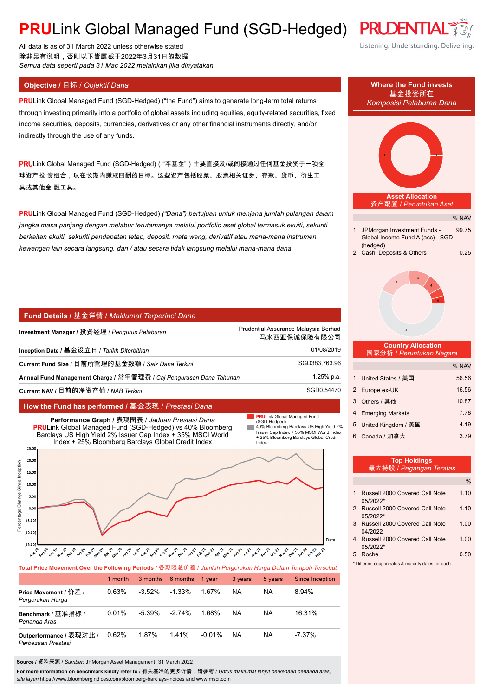# **PRULink Global Managed Fund (SGD-Hedged) PRUDENTI**

All data is as of 31 March 2022 unless otherwise stated 除非另有说明,否则以下皆属截于2022年3月31日的数据 *Semua data seperti pada 31 Mac 2022 melainkan jika dinyatakan*

**PRU**Link Global Managed Fund (SGD-Hedged) ("the Fund") aims to generate long-term total returns through investing primarily into a portfolio of global assets including equities, equity-related securities, fixed income securities, deposits, currencies, derivatives or any other financial instruments directly, and/or indirectly through the use of any funds.

PRULink Global Managed Fund (SGD-Hedged)( "本基金")主要直接及/或间接通过任何基金投资于一项全 球资产投 资组合,以在长期内赚取回酬的目标。这些资产包括股票、股票相关证券、存款、货币、衍生工 具或其他金 融工具。

**PRU**Link Global Managed Fund (SGD-Hedged) *("Dana") bertujuan untuk menjana jumlah pulangan dalam jangka masa panjang dengan melabur terutamanya melalui portfolio aset global termasuk ekuiti, sekuriti berkaitan ekuiti, sekuriti pendapatan tetap, deposit, mata wang, derivatif atau mana-mana instrumen kewangan lain secara langsung, dan / atau secara tidak langsung melalui mana-mana dana.*

### **Fund Details /** 基金详情 / *Maklumat Terperinci Dana*

| Investment Manager / 投资经理 / <i>Penqurus Pelaburan</i>                | Prudential Assurance Malaysia Berhad<br>马来西亚保诚保险有限公司 |
|----------------------------------------------------------------------|------------------------------------------------------|
| Inception Date / 基金设立日 / Tarikh Diterbitkan                          | 01/08/2019                                           |
| Current Fund Size / 目前所管理的基金数额 / Saiz Dana Terkini                   | SGD383,763.96                                        |
| Annual Fund Management Charge / 常年管理费 / Caj Pengurusan Dana Tahunan_ | 1.25% p.a.                                           |
| Current NAV / 目前的净资产值 / NAB Terkini                                  | SGD0.54470                                           |

## **How the Fund has performed /** 基金表现 / *Prestasi Dana*



|                                               | 1 month |           | 3 months 6 months | 1 vear    | 3 years | 5 years | Since Inception |
|-----------------------------------------------|---------|-----------|-------------------|-----------|---------|---------|-----------------|
| Price Movement / 价差 /<br>Pergerakan Harga     | 0.63%   | $-3.52\%$ | $-1.33\%$         | 1.67%     | NA      | ΝA      | 8.94%           |
| Benchmark / 基准指标 /<br>Penanda Aras            | 0.01%   | $-5.39\%$ | $-2.74\%$         | 1.68%     | NA      | NA      | 16.31%          |
| Outperformance / 表现对比 /<br>Perbezaan Prestasi | 0.62%   | 1.87%     | 141%              | $-0.01\%$ | NA      | NA      | $-7.37\%$       |

**Source /** 资料来源 / *Sumber*: JPMorgan Asset Management, 31 March 2022

**For more information on benchmark kindly refer to** / 有关基准的更多详情,请参考 / *Untuk maklumat lanjut berkenaan penanda aras, sila layari* https://www.bloombergindices.com/bloomberg-barclays-indices and www.msci.com

Listening. Understanding. Delivering.



|   | 2 Russell 2000 Covered Call Note | 110  |
|---|----------------------------------|------|
|   | 05/2022*                         |      |
| 3 | Russell 2000 Covered Call Note   | 1.00 |
|   | 04/2022                          |      |
|   | Russell 2000 Covered Call Note   | 1.00 |
|   | $0.5/2022*$                      |      |

5 Roche 0.50

\* Different coupon rates & maturity dates for each.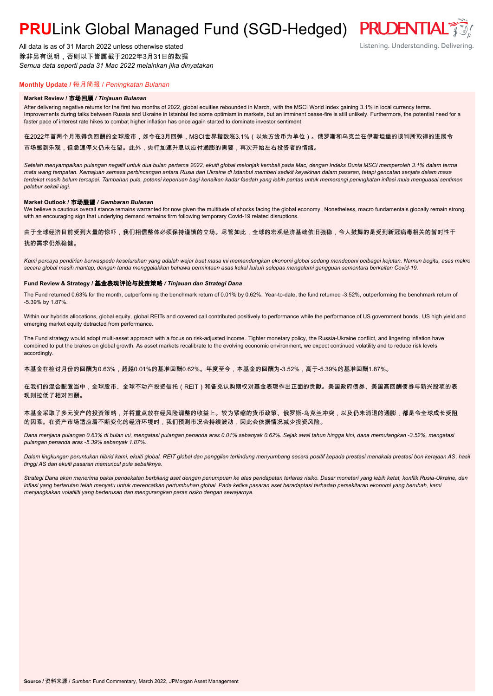# **PRULink Global Managed Fund (SGD-Hedged) PRUDENTIAL**

All data is as of 31 March 2022 unless otherwise stated 除非另有说明,否则以下皆属截于2022年3月31日的数据 *Semua data seperti pada 31 Mac 2022 melainkan jika dinyatakan*

# **Monthly Update /** 每月简报 / *Peningkatan Bulanan*

#### **Market Review /** 市场回顾 */ Tinjauan Bulanan*

After delivering negative returns for the first two months of 2022, global equities rebounded in March, with the MSCI World Index gaining 3.1% in local currency terms. Improvements during talks between Russia and Ukraine in Istanbul fed some optimism in markets, but an imminent cease-fire is still unlikely. Furthermore, the potential need for a faster pace of interest rate hikes to combat higher inflation has once again started to dominate investor sentiment.

在2022年首两个月取得负回酬的全球股市,如今在3月回弹,MSCI世界指数涨3.1%(以地方货币为单位)。俄罗斯和乌克兰在伊斯坦堡的谈判所取得的进展令 市场感到乐观,但急速停火仍未在望。此外,央行加速升息以应付通膨的需要,再次开始左右投资者的情绪。

*Setelah menyampaikan pulangan negatif untuk dua bulan pertama 2022, ekuiti global melonjak kembali pada Mac, dengan Indeks Dunia MSCI memperoleh 3.1% dalam terma mata wang tempatan. Kemajuan semasa perbincangan antara Rusia dan Ukraine di Istanbul memberi sedikit keyakinan dalam pasaran, tetapi gencatan senjata dalam masa terdekat masih belum tercapai. Tambahan pula, potensi keperluan bagi kenaikan kadar faedah yang lebih pantas untuk memerangi peningkatan inflasi mula menguasai sentimen pelabur sekali lagi.*

#### **Market Outlook /** 市场展望 */ Gambaran Bulanan*

We believe a cautious overall stance remains warranted for now given the multitude of shocks facing the global economy . Nonetheless, macro fundamentals globally remain strong, with an encouraging sign that underlying demand remains firm following temporary Covid-19 related disruptions.

### 由于全球经济目前受到大量的惊吓,我们相信整体必须保持谨慎的立场。尽管如此,全球的宏观经济基础依旧强稳,令人鼓舞的是受到新冠病毒相关的暂时性干 扰的需求仍然稳健。

*Kami percaya pendirian berwaspada keseluruhan yang adalah wajar buat masa ini memandangkan ekonomi global sedang mendepani pelbagai kejutan. Namun begitu, asas makro secara global masih mantap, dengan tanda menggalakkan bahawa permintaan asas kekal kukuh selepas mengalami gangguan sementara berkaitan Covid-19.*

#### **Fund Review & Strategy /** 基金表现评论与投资策略 */ Tinjauan dan Strategi Dana*

The Fund returned 0.63% for the month, outperforming the benchmark return of 0.01% by 0.62%. Year-to-date, the fund returned -3.52%, outperforming the benchmark return of -5.39% by 1.87%.

Within our hybrids allocations, global equity, global REITs and covered call contributed positively to performance while the performance of US government bonds , US high yield and emerging market equity detracted from performance.

The Fund strategy would adopt multi-asset approach with a focus on risk-adjusted income. Tighter monetary policy, the Russia-Ukraine conflict, and lingering inflation have combined to put the brakes on global growth. As asset markets recalibrate to the evolving economic environment, we expect continued volatility and to reduce risk levels accordingly.

本基金在检讨月份的回酬为0.63%,超越0.01%的基准回酬0.62%。年度至今,本基金的回酬为-3.52%,高于-5.39%的基准回酬1.87%。

在我们的混合配置当中,全球股市、全球不动产投资信托(REIT)和备兑认购期权对基金表现作出正面的贡献。美国政府债券、美国高回酬债券与新兴股项的表 现则拉低了相对回酬。

### 本基金采取了多元资产的投资策略,并将重点放在经风险调整的收益上。较为紧缩的货币政策、俄罗斯-乌克兰冲突,以及仍未消退的通膨,都是令全球成长受阻 的因素。在资产市场适应着不断变化的经济环境时,我们预测市况会持续波动,因此会依据情况减少投资风险。

*Dana menjana pulangan 0.63% di bulan ini, mengatasi pulangan penanda aras 0.01% sebanyak 0.62%. Sejak awal tahun hingga kini, dana memulangkan -3.52%, mengatasi pulangan penanda aras -5.39% sebanyak 1.87%.*

*Dalam lingkungan peruntukan hibrid kami, ekuiti global, REIT global dan panggilan terlindung menyumbang secara positif kepada prestasi manakala prestasi bon kerajaan AS, hasil tinggi AS dan ekuiti pasaran memuncul pula sebaliknya.*

*Strategi Dana akan menerima pakai pendekatan berbilang aset dengan penumpuan ke atas pendapatan terlaras risiko. Dasar monetari yang lebih ketat, konflik Rusia-Ukraine, dan inflasi yang berlarutan telah menyatu untuk merencatkan pertumbuhan global. Pada ketika pasaran aset beradaptasi terhadap persekitaran ekonomi yang berubah, kami menjangkakan volatiliti yang berterusan dan mengurangkan paras risiko dengan sewajarnya.*